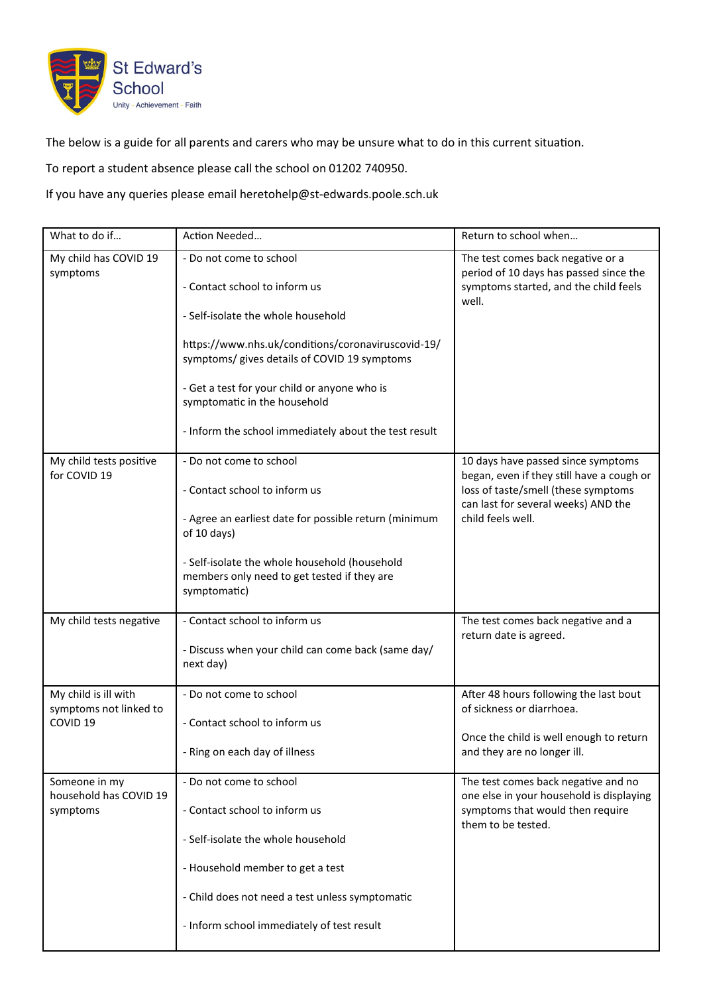

The below is a guide for all parents and carers who may be unsure what to do in this current situation.

To report a student absence please call the school on 01202 740950.

If you have any queries please email heretohelp@st-edwards.poole.sch.uk

| What to do if                                                         | Action Needed                                                                                                                                                                                                                                                                                                                                 | Return to school when                                                                                                                                                              |
|-----------------------------------------------------------------------|-----------------------------------------------------------------------------------------------------------------------------------------------------------------------------------------------------------------------------------------------------------------------------------------------------------------------------------------------|------------------------------------------------------------------------------------------------------------------------------------------------------------------------------------|
| My child has COVID 19<br>symptoms                                     | - Do not come to school<br>- Contact school to inform us<br>- Self-isolate the whole household<br>https://www.nhs.uk/conditions/coronaviruscovid-19/<br>symptoms/ gives details of COVID 19 symptoms<br>- Get a test for your child or anyone who is<br>symptomatic in the household<br>- Inform the school immediately about the test result | The test comes back negative or a<br>period of 10 days has passed since the<br>symptoms started, and the child feels<br>well.                                                      |
| My child tests positive<br>for COVID 19                               | - Do not come to school<br>- Contact school to inform us<br>- Agree an earliest date for possible return (minimum<br>of 10 days)<br>- Self-isolate the whole household (household<br>members only need to get tested if they are<br>symptomatic)                                                                                              | 10 days have passed since symptoms<br>began, even if they still have a cough or<br>loss of taste/smell (these symptoms<br>can last for several weeks) AND the<br>child feels well. |
| My child tests negative                                               | - Contact school to inform us<br>- Discuss when your child can come back (same day/<br>next day)                                                                                                                                                                                                                                              | The test comes back negative and a<br>return date is agreed.                                                                                                                       |
| My child is ill with<br>symptoms not linked to<br>COVID <sub>19</sub> | - Do not come to school<br>- Contact school to inform us<br>- Ring on each day of illness                                                                                                                                                                                                                                                     | After 48 hours following the last bout<br>of sickness or diarrhoea.<br>Once the child is well enough to return<br>and they are no longer ill.                                      |
| Someone in my<br>household has COVID 19<br>symptoms                   | - Do not come to school<br>- Contact school to inform us<br>- Self-isolate the whole household<br>- Household member to get a test<br>- Child does not need a test unless symptomatic<br>- Inform school immediately of test result                                                                                                           | The test comes back negative and no<br>one else in your household is displaying<br>symptoms that would then require<br>them to be tested.                                          |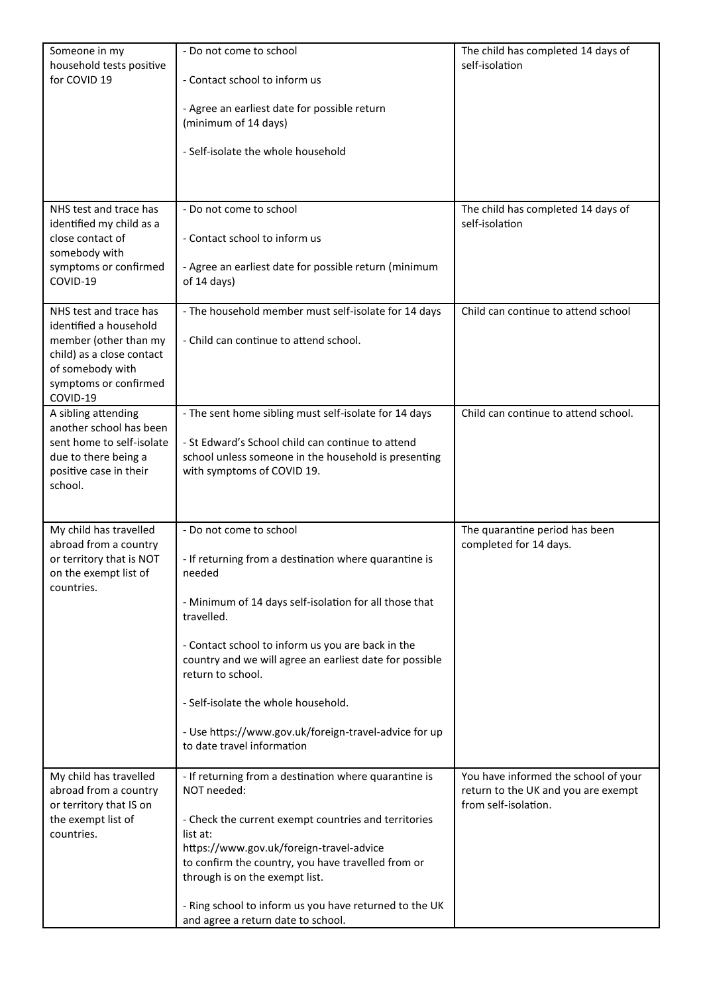| Someone in my                                   | - Do not come to school                                                                                      | The child has completed 14 days of                       |
|-------------------------------------------------|--------------------------------------------------------------------------------------------------------------|----------------------------------------------------------|
| household tests positive<br>for COVID 19        | - Contact school to inform us                                                                                | self-isolation                                           |
|                                                 |                                                                                                              |                                                          |
|                                                 | - Agree an earliest date for possible return                                                                 |                                                          |
|                                                 | (minimum of 14 days)                                                                                         |                                                          |
|                                                 | - Self-isolate the whole household                                                                           |                                                          |
|                                                 |                                                                                                              |                                                          |
|                                                 |                                                                                                              |                                                          |
| NHS test and trace has                          | - Do not come to school                                                                                      | The child has completed 14 days of                       |
| identified my child as a                        |                                                                                                              | self-isolation                                           |
| close contact of<br>somebody with               | - Contact school to inform us                                                                                |                                                          |
| symptoms or confirmed                           | - Agree an earliest date for possible return (minimum                                                        |                                                          |
| COVID-19                                        | of 14 days)                                                                                                  |                                                          |
| NHS test and trace has                          | - The household member must self-isolate for 14 days                                                         | Child can continue to attend school                      |
| identified a household                          |                                                                                                              |                                                          |
| member (other than my                           | - Child can continue to attend school.                                                                       |                                                          |
| child) as a close contact<br>of somebody with   |                                                                                                              |                                                          |
| symptoms or confirmed                           |                                                                                                              |                                                          |
| COVID-19                                        |                                                                                                              |                                                          |
| A sibling attending<br>another school has been  | - The sent home sibling must self-isolate for 14 days                                                        | Child can continue to attend school.                     |
| sent home to self-isolate                       | - St Edward's School child can continue to attend                                                            |                                                          |
| due to there being a                            | school unless someone in the household is presenting                                                         |                                                          |
| positive case in their<br>school.               | with symptoms of COVID 19.                                                                                   |                                                          |
|                                                 |                                                                                                              |                                                          |
|                                                 |                                                                                                              |                                                          |
| My child has travelled<br>abroad from a country | - Do not come to school                                                                                      | The quarantine period has been<br>completed for 14 days. |
| or territory that is NOT                        | - If returning from a destination where quarantine is                                                        |                                                          |
| on the exempt list of                           | needed                                                                                                       |                                                          |
| countries.                                      | - Minimum of 14 days self-isolation for all those that                                                       |                                                          |
|                                                 | travelled.                                                                                                   |                                                          |
|                                                 |                                                                                                              |                                                          |
|                                                 | - Contact school to inform us you are back in the<br>country and we will agree an earliest date for possible |                                                          |
|                                                 | return to school.                                                                                            |                                                          |
|                                                 |                                                                                                              |                                                          |
|                                                 | - Self-isolate the whole household.                                                                          |                                                          |
|                                                 | - Use https://www.gov.uk/foreign-travel-advice for up                                                        |                                                          |
|                                                 | to date travel information                                                                                   |                                                          |
| My child has travelled                          | - If returning from a destination where quarantine is                                                        | You have informed the school of your                     |
| abroad from a country                           | NOT needed:                                                                                                  | return to the UK and you are exempt                      |
| or territory that IS on                         |                                                                                                              | from self-isolation.                                     |
| the exempt list of<br>countries.                | - Check the current exempt countries and territories<br>list at:                                             |                                                          |
|                                                 | https://www.gov.uk/foreign-travel-advice                                                                     |                                                          |
|                                                 | to confirm the country, you have travelled from or<br>through is on the exempt list.                         |                                                          |
|                                                 |                                                                                                              |                                                          |
|                                                 | - Ring school to inform us you have returned to the UK<br>and agree a return date to school.                 |                                                          |